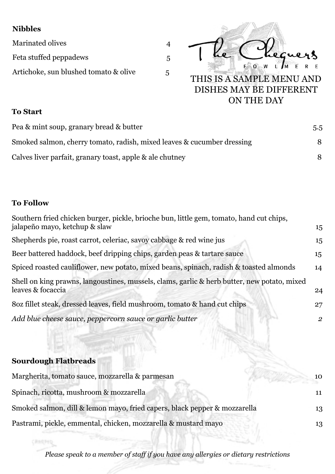## **Nibbles**

Marinated olives 4 Feta stuffed peppadews 5 Artichoke, sun blushed tomato & olive 5



## **To Start**

| Pea & mint soup, granary bread & butter                                | 5.5 |
|------------------------------------------------------------------------|-----|
| Smoked salmon, cherry tomato, radish, mixed leaves & cucumber dressing | 8   |
| Calves liver parfait, granary toast, apple & ale chutney               |     |

## **To Follow**

**CRARPER** 

| Southern fried chicken burger, pickle, brioche bun, little gem, tomato, hand cut chips,<br>jalapeño mayo, ketchup & slaw | 15             |
|--------------------------------------------------------------------------------------------------------------------------|----------------|
| Shepherds pie, roast carrot, celeriac, savoy cabbage & red wine jus                                                      | 15             |
| Beer battered haddock, beef dripping chips, garden peas & tartare sauce                                                  | 15             |
| Spiced roasted cauliflower, new potato, mixed beans, spinach, radish & toasted almonds                                   | 14             |
| Shell on king prawns, langoustines, mussels, clams, garlic & herb butter, new potato, mixed<br>leaves & focaccia         | 24             |
| 802 fillet steak, dressed leaves, field mushroom, tomato & hand cut chips                                                | 27             |
| Add blue cheese sauce, peppercorn sauce or garlic butter                                                                 | $\overline{2}$ |
| <b>Sourdough Flatbreads</b>                                                                                              |                |
| Margherita, tomato sauce, mozzarella & parmesan                                                                          | 10             |
| Spinach, ricotta, mushroom & mozzarella                                                                                  | 11             |
| Smoked salmon, dill & lemon mayo, fried capers, black pepper & mozzarella                                                | 13             |

Pastrami, pickle, emmental, chicken, mozzarella & mustard mayo 13

*Please speak to a member of staff if you have any allergies or dietary restrictions*